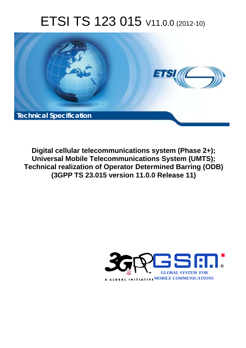# ETSI TS 123 015 V11.0.0 (2012-10)



**Digital cellular telecommunications system (Phase 2+); Universal Mobile Telecommunications System (UMTS); Technical realization of Operator Determined Barring (ODB) (3GPP TS 23.015 version 11.0.0 Release 11)** 

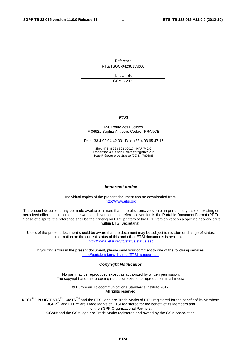Reference RTS/TSGC-0423015vb00

> Keywords GSM,UMTS

#### *ETSI*

#### 650 Route des Lucioles F-06921 Sophia Antipolis Cedex - FRANCE

Tel.: +33 4 92 94 42 00 Fax: +33 4 93 65 47 16

Siret N° 348 623 562 00017 - NAF 742 C Association à but non lucratif enregistrée à la Sous-Préfecture de Grasse (06) N° 7803/88

#### *Important notice*

Individual copies of the present document can be downloaded from: [http://www.etsi.org](http://www.etsi.org/)

The present document may be made available in more than one electronic version or in print. In any case of existing or perceived difference in contents between such versions, the reference version is the Portable Document Format (PDF). In case of dispute, the reference shall be the printing on ETSI printers of the PDF version kept on a specific network drive within ETSI Secretariat.

Users of the present document should be aware that the document may be subject to revision or change of status. Information on the current status of this and other ETSI documents is available at <http://portal.etsi.org/tb/status/status.asp>

If you find errors in the present document, please send your comment to one of the following services: [http://portal.etsi.org/chaircor/ETSI\\_support.asp](http://portal.etsi.org/chaircor/ETSI_support.asp)

#### *Copyright Notification*

No part may be reproduced except as authorized by written permission. The copyright and the foregoing restriction extend to reproduction in all media.

> © European Telecommunications Standards Institute 2012. All rights reserved.

DECT<sup>™</sup>, PLUGTESTS<sup>™</sup>, UMTS<sup>™</sup> and the ETSI logo are Trade Marks of ETSI registered for the benefit of its Members. **3GPP**TM and **LTE**™ are Trade Marks of ETSI registered for the benefit of its Members and of the 3GPP Organizational Partners.

**GSM**® and the GSM logo are Trade Marks registered and owned by the GSM Association.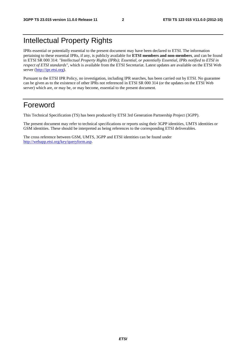# Intellectual Property Rights

IPRs essential or potentially essential to the present document may have been declared to ETSI. The information pertaining to these essential IPRs, if any, is publicly available for **ETSI members and non-members**, and can be found in ETSI SR 000 314: *"Intellectual Property Rights (IPRs); Essential, or potentially Essential, IPRs notified to ETSI in respect of ETSI standards"*, which is available from the ETSI Secretariat. Latest updates are available on the ETSI Web server ([http://ipr.etsi.org\)](http://webapp.etsi.org/IPR/home.asp).

Pursuant to the ETSI IPR Policy, no investigation, including IPR searches, has been carried out by ETSI. No guarantee can be given as to the existence of other IPRs not referenced in ETSI SR 000 314 (or the updates on the ETSI Web server) which are, or may be, or may become, essential to the present document.

### Foreword

This Technical Specification (TS) has been produced by ETSI 3rd Generation Partnership Project (3GPP).

The present document may refer to technical specifications or reports using their 3GPP identities, UMTS identities or GSM identities. These should be interpreted as being references to the corresponding ETSI deliverables.

The cross reference between GSM, UMTS, 3GPP and ETSI identities can be found under [http://webapp.etsi.org/key/queryform.asp.](http://webapp.etsi.org/key/queryform.asp)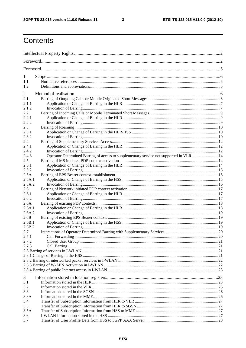$\mathbf{3}$ 

# Contents

| 1          |                                                                                         |  |
|------------|-----------------------------------------------------------------------------------------|--|
| 1.1        |                                                                                         |  |
| 1.2        |                                                                                         |  |
|            |                                                                                         |  |
| 2<br>2.1   |                                                                                         |  |
| 2.1.1      |                                                                                         |  |
| 2.1.2      |                                                                                         |  |
| 2.2        |                                                                                         |  |
| 2.2.1      |                                                                                         |  |
| 2.2.2      |                                                                                         |  |
| 2.3        |                                                                                         |  |
| 2.3.1      |                                                                                         |  |
| 2.3.2      |                                                                                         |  |
| 2.4        |                                                                                         |  |
| 2.4.1      |                                                                                         |  |
| 2.4.2      |                                                                                         |  |
| 2.4.3      | Operator Determined Barring of access to supplementary service not supported in VLR  14 |  |
| 2.5        |                                                                                         |  |
| 2.5.1      |                                                                                         |  |
| 2.5.2      |                                                                                         |  |
| 2.5A       |                                                                                         |  |
| 2.5A.1     |                                                                                         |  |
| 2.5A.2     |                                                                                         |  |
| 2.6        |                                                                                         |  |
| 2.6.1      |                                                                                         |  |
| 2.6.2      |                                                                                         |  |
| 2.6A       |                                                                                         |  |
| 2.6A.1     |                                                                                         |  |
| 2.6A.2     |                                                                                         |  |
| 2.6B       |                                                                                         |  |
| 2.6B.1     |                                                                                         |  |
| 2.6B.2     |                                                                                         |  |
| 2.7        |                                                                                         |  |
| 2.7.1      |                                                                                         |  |
| 2.7.2      |                                                                                         |  |
| 2.7.3      |                                                                                         |  |
|            |                                                                                         |  |
|            |                                                                                         |  |
|            |                                                                                         |  |
|            |                                                                                         |  |
|            |                                                                                         |  |
| 3          |                                                                                         |  |
| 3.1        |                                                                                         |  |
| 3.2<br>3.3 |                                                                                         |  |
| 3.3A       |                                                                                         |  |
| 3.4        |                                                                                         |  |
| 3.5        |                                                                                         |  |
| 3.5A       |                                                                                         |  |
| 3.6        |                                                                                         |  |
| 3.7        |                                                                                         |  |
|            |                                                                                         |  |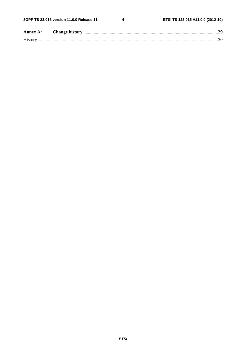$\overline{\mathbf{4}}$ 

| Annex A:       |  |
|----------------|--|
| <b>History</b> |  |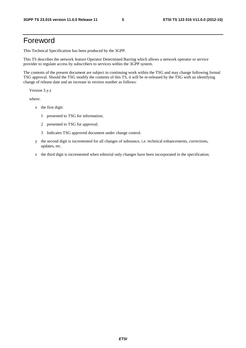### Foreword

This Technical Specification has been produced by the 3GPP.

This TS describes the network feature Operator Determined Barring which allows a network operator or service provider to regulate access by subscribers to services within the 3GPP system.

The contents of the present document are subject to continuing work within the TSG and may change following formal TSG approval. Should the TSG modify the contents of this TS, it will be re-released by the TSG with an identifying change of release date and an increase in version number as follows:

Version 3.y.z

where:

- x the first digit:
	- 1 presented to TSG for information;
	- 2 presented to TSG for approval;
	- 3 Indicates TSG approved document under change control.
- y the second digit is incremented for all changes of substance, i.e. technical enhancements, corrections, updates, etc.
- z the third digit is incremented when editorial only changes have been incorporated in the specification;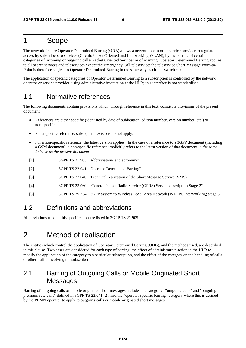### 1 Scope

The network feature Operator Determined Barring (ODB) allows a network operator or service provider to regulate access by subscribers to services (Circuit/Packet Oriented and Interworking WLAN), by the barring of certain categories of incoming or outgoing calls/ Packet Oriented Services or of roaming. Operator Determined Barring applies to all bearer services and teleservices except the Emergency Call teleservice; the teleservice Short Message Point-to-Point is therefore subject to Operator Determined Barring in the same way as circuit-switched calls.

The application of specific categories of Operator Determined Barring to a subscription is controlled by the network operator or service provider, using administrative interaction at the HLR; this interface is not standardised.

#### 1.1 Normative references

The following documents contain provisions which, through reference in this text, constitute provisions of the present document.

- References are either specific (identified by date of publication, edition number, version number, etc.) or non-specific.
- For a specific reference, subsequent revisions do not apply.
- For a non-specific reference, the latest version applies. In the case of a reference to a 3GPP document (including a GSM document), a non-specific reference implicitly refers to the latest version of that document *in the same Release as the present document*.
- [1] 3GPP TS 21.905: "Abbreviations and acronyms".
- [2] 3GPP TS 22.041: "Operator Determined Barring"..
- [3] 3GPP TS 23.040: "Technical realization of the Short Message Service (SMS)".
- [4] 3GPP TS 23.060: " General Packet Radio Service (GPRS) Service description Stage 2"
- [5] 3GPP TS 29.234: "3GPP system to Wireless Local Area Network (WLAN) interworking; stage 3"

#### 1.2 Definitions and abbreviations

Abbreviations used in this specification are listed in 3GPP TS 21.905.

## 2 Method of realisation

The entities which control the application of Operator Determined Barring (ODB), and the methods used, are described in this clause. Two cases are considered for each type of barring: the effect of administrative action in the HLR to modify the application of the category to a particular subscription, and the effect of the category on the handling of calls or other traffic involving the subscriber.

### 2.1 Barring of Outgoing Calls or Mobile Originated Short Messages

Barring of outgoing calls or mobile originated short messages includes the categories "outgoing calls" and "outgoing premium rate calls" defined in 3GPP TS 22.041 [2], and the "operator specific barring" category where this is defined by the PLMN operator to apply to outgoing calls or mobile originated short messages.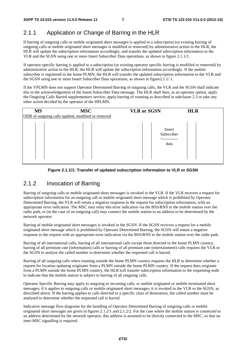#### 2.1.1 Application or Change of Barring in the HLR

If barring of outgoing calls or mobile originated short messages is applied to a subscription (or existing barring of outgoing calls or mobile originated short messages is modified or removed) by administrative action in the HLR, the HLR will update the subscription information accordingly, and transfer the updated subscription information to the VLR and the SGSN using one or more Insert Subscriber Data operations, as shown in figure 2.1.1/1.

If operator specific barring is applied to a subscription (or existing operator specific barring is modified or removed) by administrative action in the HLR, the HLR will update the subscription information accordingly. If the mobile subscriber is registered in the home PLMN, the HLR will transfer the updated subscription information to the VLR and the SGSN using one or more Insert Subscriber Data operations, as shown in figure2.1.1/ 1.

If the VPLMN does not support Operator Determined Barring of outgoing calls, the VLR and the SGSN shall indicate this in the acknowledgement of the Insert Subscriber Data message. The HLR shall then, as an operator option, apply the Outgoing Calls Barred supplementary service, apply barring of roaming as described in subclause 2.3 or take any other action decided by the operator of the HPLMN.

| <b>MS</b> | <b>MSC</b>                                         | <b>VLR</b> or SGSN                | <b>HLR</b> |
|-----------|----------------------------------------------------|-----------------------------------|------------|
|           | ODB of outgoing calls applied, modified or removed | Insert<br>Subscriber<br>.<br>data |            |

#### **Figure 2.1.1/1: Transfer of updated subscription information to VLR or SGSN**

#### 2.1.2 Invocation of Barring

Barring of outgoing calls or mobile originated short messages is invoked in the VLR. If the VLR receives a request for subscription information for an outgoing call or mobile originated short message which is prohibited by Operator Determined Barring, the VLR will return a negative response to the request for subscription information, with an appropriate error indication. The MSC may relay this error indication via the BSS/RNS to the mobile station over the radio path, or (in the case of an outgoing call) may connect the mobile station to an address to be determined by the network operator.

Barring of mobile originated short messages is invoked in the SGSN. If the SGSN receives a request for a mobile originated short message which is prohibited by Operator Determined Barring, the SGSN will return a negative response to the request with an appropriate error indication via the BSS/RNS to the mobile station over the radio path.

Barring of all international calls, barring of all international calls except those directed to the home PLMN country, barring of all premium rate (information) calls or barring of all premium rate (entertainment) calls requires the VLR or the SGSN to analyse the called number to determine whether the requested call is barred.

Barring of all outgoing calls when roaming outside the home PLMN country requires the HLR to determine whether a request for location updating originates from a PLMN outside the home PLMN country. If the request does originate from a PLMN outside the home PLMN country, the HLR will transfer subscription information to the requesting node to indicate that the mobile station is subject to barring of all outgoing calls.

Operator Specific Barring may apply to outgoing or incoming calls, or mobile originated or mobile terminated short messages; if it applies to outgoing calls or mobile originated short messages, it is invoked in the VLR or the SGSN, as described above. If the barring applies to calls directed to a specific class of destination, the called number must be analysed to determine whether the requested call is barred.

Indicative message flow diagrams for the handling of Operator Determined Barring of outgoing calls or mobile originated short messages are given in figures 2.1.2/1 and 2.1.2/2. For the case where the mobile station is connected to an address determined by the network operator, this address is assumed to be directly connected to the MSC, so that no inter-MSC signalling is required.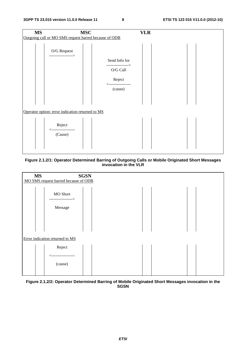| <b>MS</b> | <b>MSC</b>                                            |                                   | <b>VLR</b> |  |
|-----------|-------------------------------------------------------|-----------------------------------|------------|--|
|           | Outgoing call or MO SMS request barred because of ODB |                                   |            |  |
|           | O/G Request<br>>                                      |                                   |            |  |
|           |                                                       | Send Info for<br>---------------> |            |  |
|           |                                                       | $\rm{O/G}$ Call                   |            |  |
|           |                                                       | Reject<br><-----------------      |            |  |
|           |                                                       | (cause)                           |            |  |
|           |                                                       |                                   |            |  |
|           | Operator option: error indication returned to MS      |                                   |            |  |
|           | Reject<br>---------------                             |                                   |            |  |
|           | (Cause)                                               |                                   |            |  |
|           |                                                       |                                   |            |  |

#### **Figure 2.1.2/1: Operator Determined Barring of Outgoing Calls or Mobile Originated Short Messages invocation in the VLR**



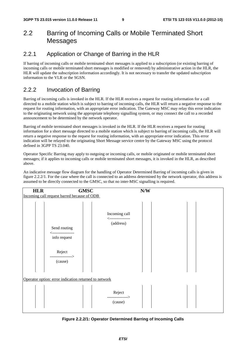### 2.2 Barring of Incoming Calls or Mobile Terminated Short Messages

#### 2.2.1 Application or Change of Barring in the HLR

If barring of incoming calls or mobile terminated short messages is applied to a subscription (or existing barring of incoming calls or mobile terminated short messages is modified or removed) by administrative action in the HLR, the HLR will update the subscription information accordingly. It is not necessary to transfer the updated subscription information to the VLR or the SGSN.

#### 2.2.2 Invocation of Barring

Barring of incoming calls is invoked in the HLR. If the HLR receives a request for routing information for a call directed to a mobile station which is subject to barring of incoming calls, the HLR will return a negative response to the request for routing information, with an appropriate error indication. The Gateway MSC may relay this error indication to the originating network using the appropriate telephony signalling system, or may connect the call to a recorded announcement to be determined by the network operator.

Barring of mobile terminated short messages is invoked in the HLR. If the HLR receives a request for routing information for a short message directed to a mobile station which is subject to barring of incoming calls, the HLR will return a negative response to the request for routing information, with an appropriate error indication. This error indication will be relayed to the originating Short Message service centre by the Gateway MSC using the protocol defined in 3GPP TS 23.040.

Operator Specific Barring may apply to outgoing or incoming calls, or mobile originated or mobile terminated short messages; if it applies to incoming calls or mobile terminated short messages, it is invoked in the HLR, as described above.

An indicative message flow diagram for the handling of Operator Determined Barring of incoming calls is given in figure 2.2.2/1. For the case where the call is connected to an address determined by the network operator, this address is assumed to be directly connected to the GMSC, so that no inter-MSC signalling is required.



**Figure 2.2.2/1: Operator Determined Barring of Incoming Calls**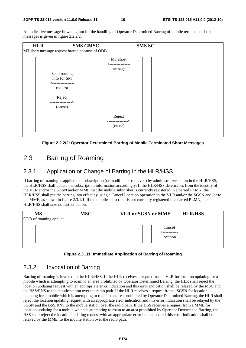An indicative message flow diagram for the handling of Operator Determined Barring of mobile terminated short messages is given in figure 2.2.2/2.



**Figure 2.2.2/2: Operator Determined Barring of Mobile Terminated Short Messages** 

### 2.3 Barring of Roaming

#### 2.3.1 Application or Change of Barring in the HLR/HSS

If barring of roaming is applied to a subscription (or modified or removed) by administrative action in the HLR/HSS, the HLR/HSS shall update the subscription information accordingly. If the HLR/HSS determines from the identity of the VLR and/or the SGSN and/or MME that the mobile subscriber is currently registered in a barred PLMN, the HLR/HSS shall put the barring into effect by using a Cancel Location operation to the VLR and/or the SGSN and /or to the MME, as shown in figure 2.3.1/1. If the mobile subscriber is not currently registered in a barred PLMN, the HLR/HSS shall take no further action.



#### **Figure 2.3.1/1: Immediate Application of Barring of Roaming**

#### 2.3.2 Invocation of Barring

Barring of roaming is invoked in the HLR/HSS. If the HLR receives a request from a VLR for location updating for a mobile which is attempting to roam to an area prohibited by Operator Determined Barring, the HLR shall reject the location updating request with an appropriate error indication and this error indication shall be relayed by the MSC and the BSS/RNS to the mobile station over the radio path. If the HLR receives a request from a SGSN for location updating for a mobile which is attempting to roam to an area prohibited by Operator Determined Barring, the HLR shall reject the location updating request with an appropriate error indication and this error indication shall be relayed by the SGSN and the BSS/RNS to the mobile station over the radio path. If the HSS receives a request from a MME for location updating for a mobile which is attempting to roam to an area prohibited by Operator Determined Barring, the HSS shall reject the location updating request with an appropriate error indication and this error indication shall be relayed by the MME to the mobile station over the radio path.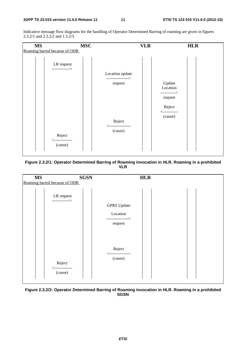Indicative message flow diagrams for the handling of Operator Determined Barring of roaming are given in figures 2.3.2/1 and 2.3.2/2 and 1.3.2/3.



**Figure 2.3.2/1: Operator Determined Barring of Roaming invocation in HLR. Roaming in a prohibited VLR** 



**Figure 2.3.2/2: Operator Determined Barring of Roaming invocation in HLR. Roaming in a prohibited SGSN**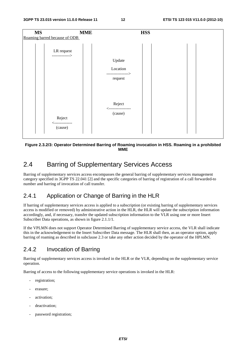

#### **Figure 2.3.2/3: Operator Determined Barring of Roaming invocation in HSS. Roaming in a prohibited MME**

### 2.4 Barring of Supplementary Services Access

Barring of supplementary services access encompasses the general barring of supplementary services management category specified in 3GPP TS 22.041 [2] and the specific categories of barring of registration of a call forwarded-to number and barring of invocation of call transfer.

#### 2.4.1 Application or Change of Barring in the HLR

If barring of supplementary services access is applied to a subscription (or existing barring of supplementary services access is modified or removed) by administrative action in the HLR, the HLR will update the subscription information accordingly, and, if necessary, transfer the updated subscription information to the VLR using one or more Insert Subscriber Data operations, as shown in figure 2.1.1/1.

If the VPLMN does not support Operator Determined Barring of supplementary service access, the VLR shall indicate this in the acknowledgement to the Insert Subscriber Data message. The HLR shall then, as an operator option, apply barring of roaming as described in subclause 2.3 or take any other action decided by the operator of the HPLMN.

#### 2.4.2 Invocation of Barring

Barring of supplementary services access is invoked in the HLR or the VLR, depending on the supplementary service operation.

Barring of access to the following supplementary service operations is invoked in the HLR:

- registration;
- erasure:
- activation:
- deactivation;
- password registration;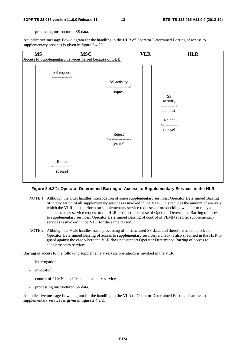processing unstructured SS data.

An indicative message flow diagram for the handling in the HLR of Operator Determined Barring of access to supplementary services is given in figure 2.4.2/1.



#### **Figure 2.4.2/1: Operator Determined Barring of Access to Supplementary Services in the HLR**

- NOTE 1: Although the HLR handles interrogation of some supplementary services, Operator Determined Barring of interrogation of all supplementary services is invoked in the VLR. This reduces the amount of analysis which the VLR must perform on supplementary service requests before deciding whether to relay a supplementary service request to the HLR or reject it because of Operator Determined Barring of access to supplementary services. Operator Determined Barring of control of PLMN specific supplementary services is invoked in the VLR for the same reason.
- NOTE 2: Although the VLR handles some processing of unstructured SS data, and therefore has to check for Operator Determined Barring of access to supplementary services, a check is also specified in the HLR to guard against the case where the VLR does not support Operator Determined Barring of access to supplementary services.

Barring of access to the following supplementary service operations is invoked in the VLR:

- interrogation;
- invocation:
- control of PLMN specific supplementary services;
- processing unstructured SS data.

An indicative message flow diagram for the handling in the VLR of Operator Determined Barring of access to supplementary services is given in figure 2.4.2/2.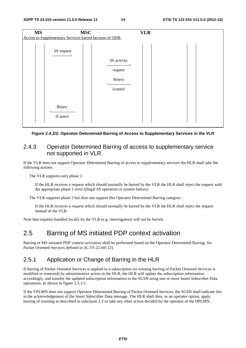| <b>MS</b> | Access to Supplementary Services barred because of ODB | <b>MSC</b>                                                                           | <b>VLR</b> |  |
|-----------|--------------------------------------------------------|--------------------------------------------------------------------------------------|------------|--|
|           | SS request<br>------------->                           | SS activity<br>--------------><br>request<br>Reject<br><-----------------<br>(cause) |            |  |
|           | Reject<br>--------------<br>(Cause)                    |                                                                                      |            |  |

#### **Figure 2.4.2/2: Operator Determined Barring of Access to Supplementary Services in the VLR**

#### 2.4.3 Operator Determined Barring of access to supplementary service not supported in VLR

If the VLR does not support Operator Determined Barring of access to supplementary services the HLR shall take the following actions:

The VLR supports only phase 1:

 If the HLR receives a request which should normally be barred by the VLR the HLR shall reject the request with the appropriate phase 1 error (illegal SS operation or system failure).

The VLR supports phase 2 but does not support this Operator Determined Barring category:

 If the HLR receives a request which should normally be barred by the VLR the HLR shall reject the request instead of the VLR.

Note that requests handled locally by the VLR (e.g. interrogation) will not be barred.

#### 2.5 Barring of MS initiated PDP context activation

Barring of MS initiated PDP context activation shall be performed based on the Operator Determined Barring for Packet Oriented Services defined in 3G TS 22.041 [2].

#### 2.5.1 Application or Change of Barring in the HLR

If barring of Packet Oriented Services is applied to a subscription (or existing barring of Packet Oriented Services is modified or removed) by administrative action in the HLR, the HLR will update the subscription information accordingly, and transfer the updated subscription information to the SGSN using one or more Insert Subscriber Data operations, as shown in figure 2.5.1/1.

If the VPLMN does not support Operator Determined Barring of Packet Oriented Services, the SGSN shall indicate this in the acknowledgement of the Insert Subscriber Data message. The HLR shall then, as an operator option, apply barring of roaming as described in subclause 2.3 or take any other action decided by the operator of the HPLMN.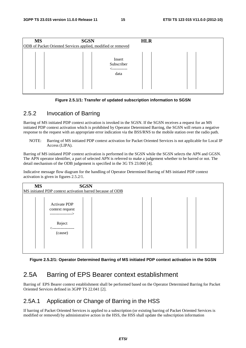| <b>MS</b>                                                    | <b>SGSN</b>                                 | <b>HLR</b> |  |  |  |  |
|--------------------------------------------------------------|---------------------------------------------|------------|--|--|--|--|
| ODB of Packet Oriented Services applied, modified or removed |                                             |            |  |  |  |  |
|                                                              | Insert<br>Subscriber<br>___________<br>data |            |  |  |  |  |

#### **Figure 2.5.1/1: Transfer of updated subscription information to SGSN**

#### 2.5.2 Invocation of Barring

Barring of MS initiated PDP context activation is invoked in the SGSN. If the SGSN receives a request for an MS initiated PDP context activation which is prohibited by Operator Determined Barring, the SGSN will return a negative response to the request with an appropriate error indication via the BSS/RNS to the mobile station over the radio path.

NOTE: Barring of MS initiated PDP context activation for Packet Oriented Services is not applicable for Local IP Access (LIPA).

Barring of MS initiated PDP context activation is performed in the SGSN while the SGSN selects the APN and GGSN. The APN operator identifier, a part of selected APN is referred to make a judgement whether to be barred or not. The detail mechanism of the ODB judgement is specified in the 3G TS 23.060 [4].

Indicative message flow diagram for the handling of Operator Determined Barring of MS initiated PDP context activation is given in figures 2.5.2/1.

| <b>MS</b> | <b>SGSN</b><br>MS initiated PDP context activation barred because of ODB |  |
|-----------|--------------------------------------------------------------------------|--|
|           | <b>Activate PDP</b><br>context request<br>---------------->              |  |
|           | Reject<br>.<br>(cause)                                                   |  |

**Figure 2.5.2/1: Operator Determined Barring of MS initiated PDP context activation in the SGSN** 

### 2.5A Barring of EPS Bearer context establishment

Barring of EPS Bearer context establishment shall be performed based on the Operator Determined Barring for Packet Oriented Services defined in 3GPP TS 22.041 [2].

#### 2.5A.1 Application or Change of Barring in the HSS

If barring of Packet Oriented Services is applied to a subscription (or existing barring of Packet Oriented Services is modified or removed) by administrative action in the HSS, the HSS shall update the subscription information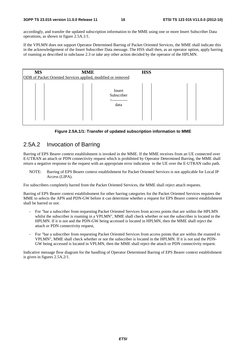accordingly, and transfer the updated subscription information to the MME using one or more Insert Subscriber Data operations, as shown in figure 2.5A.1/1.

If the VPLMN does not support Operator Determined Barring of Packet Oriented Services, the MME shall indicate this in the acknowledgement of the Insert Subscriber Data message. The HSS shall then, as an operator option, apply barring of roaming as described in subclause 2.3 or take any other action decided by the operator of the HPLMN.

| <b>MS</b> | <b>HSS</b><br><b>MME</b><br>ODB of Packet Oriented Services applied, modified or removed |                                              |  |  |  |  |
|-----------|------------------------------------------------------------------------------------------|----------------------------------------------|--|--|--|--|
|           |                                                                                          | Insert<br>Subscriber<br><-----------<br>data |  |  |  |  |

**Figure 2.5A.1/1: Transfer of updated subscription information to MME** 

#### 2.5A.2 Invocation of Barring

Barring of EPS Bearer context establishment is invoked in the MME. If the MME receives from an UE connected over E-UTRAN an attach or PDN connectivity request which is prohibited by Operator Determined Barring, the MME shall return a negative response to the request with an appropriate error indication to the UE over the E-UTRAN radio path.

NOTE: Barring of EPS Bearer context establishment for Packet Oriented Services is not applicable for Local IP Access (LIPA).

For subscribers completely barred from the Packet Oriented Services, the MME shall reject attach requests.

Barring of EPS Bearer context establishsment for other barring categories for the Packet Oriented Services requires the MME to selects the APN and PDN-GW before it can determine whether a request for EPS Bearer context establishment shall be barred or not:

- For "bar a subscriber from requesting Packet Oriented Services from access points that are within the HPLMN whilst the subscriber is roaming in a VPLMN", MME shall check whether or not the subscriber is located in the HPLMN. If it is not and the PDN-GW being accessed is located in HPLMN, then the MME shall reject the attach or PDN connectivity request,
- For "bar a subscriber from requesting Packet Oriented Services from access points that are within the roamed to VPLMN", MME shall check whether or not the subscriber is located in the HPLMN. If it is not and the PDN-GW being accessed is located in VPLMN, then the MME shall reject the attach or PDN connectivity request.

Indicative message flow diagram for the handling of Operator Determined Barring of EPS Bearer context establishment is given in figures 2.5A.2/1.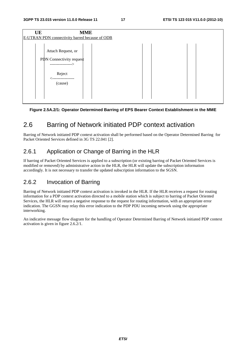| <b>MME</b><br>UE<br>E-UTRAN PDN connectivity barred because of ODB   |  |  |  |  |  |  |  |
|----------------------------------------------------------------------|--|--|--|--|--|--|--|
| Attach Request, or<br>PDN Connectivity request<br>-----------------> |  |  |  |  |  |  |  |
| Reject<br>(cause)                                                    |  |  |  |  |  |  |  |

#### **Figure 2.5A.2/1: Operator Determined Barring of EPS Bearer Context Establishment in the MME**

### 2.6 Barring of Network initiated PDP context activation

Barring of Network initiated PDP context activation shall be performed based on the Operator Determined Barring for Packet Oriented Services defined in 3G TS 22.041 [2].

#### 2.6.1 Application or Change of Barring in the HLR

If barring of Packet Oriented Services is applied to a subscription (or existing barring of Packet Oriented Services is modified or removed) by administrative action in the HLR, the HLR will update the subscription information accordingly. It is not necessary to transfer the updated subscription information to the SGSN.

#### 2.6.2 Invocation of Barring

Barring of Network initiated PDP context activation is invoked in the HLR. If the HLR receives a request for routing information for a PDP context activation directed to a mobile station which is subject to barring of Packet Oriented Services, the HLR will return a negative response to the request for routing information, with an appropriate error indication. The GGSN may relay this error indication to the PDP PDU incoming network using the appropriate interworking.

An indicative message flow diagram for the handling of Operator Determined Barring of Network initiated PDP context activation is given in figure 2.6.2/1.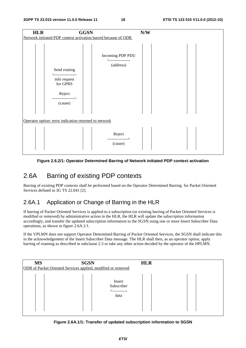

**Figure 2.6.2/1: Operator Determined Barring of Network initiated PDP context activation** 

### 2.6A Barring of existing PDP contexts

Barring of existing PDP contexts shall be performed based on the Operator Determined Barring for Packet Oriented Services defined in 3G TS 22.041 [2].

#### 2.6A.1 Application or Change of Barring in the HLR

If barring of Packet Oriented Services is applied to a subscription (or existing barring of Packet Oriented Services is modified or removed) by administrative action in the HLR, the HLR will update the subscription information accordingly, and transfer the updated subscription information to the SGSN using one or more Insert Subscriber Data operations, as shown in figure 2.6A.1/1.

If the VPLMN does not support Operator Determined Barring of Packet Oriented Services, the SGSN shall indicate this in the acknowledgement of the Insert Subscriber Data message. The HLR shall then, as an operator option, apply barring of roaming as described in subclause 2.3 or take any other action decided by the operator of the HPLMN.

| <b>MS</b> | <b>SGSN</b><br><b>HLR</b><br>ODB of Packet Oriented Services applied, modified or removed |                                              |  |  |  |  |
|-----------|-------------------------------------------------------------------------------------------|----------------------------------------------|--|--|--|--|
|           |                                                                                           | Insert<br>Subscriber<br>------------<br>data |  |  |  |  |

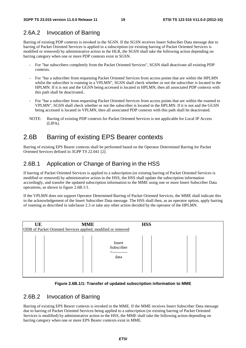#### 2.6A.2 Invocation of Barring

Barring of existing PDP contexts is invoked in the SGSN. If the SGSN receives Insert Subsciber Data message due to barring of Packet Oriented Services is applied to a subscription (or existing barring of Packet Oriented Services is modified or removed) by administrative action in the HLR, the SGSN shall take the following action depending on barring category when one or more PDP contexts exist in SGSN.

- For "bar subscribers completely from the Packet Oriented Services", SGSN shall deactivate all existing PDP contexts.
- For "bar a subscriber from requesting Packet Oriented Services from access points that are within the HPLMN whilst the subscriber is roaming in a VPLMN", SGSN shall check whether or not the subscriber is located in the HPLMN. If it is not and the GGSN being accessed is located in HPLMN, then all associated PDP contexts with this path shall be deactivated..
- For "bar a subscriber from requesting Packet Oriented Services from access points that are within the roamed to VPLMN", SGSN shall check whether or not the subscriber is located in the HPLMN. If it is not and the GGSN being accessed is located in VPLMN, then all associated PDP contexts with this path shall be deactivated.
- NOTE: Barring of existing PDP contexts for Packet Oriented Services is not applicable for Local IP Access (LIPA).

### 2.6B Barring of existing EPS Bearer contexts

Barring of existing EPS Bearer contexts shall be performed based on the Operator Determined Barring for Packet Oriented Services defined in 3GPP TS 22.041 [2].

#### 2.6B.1 Application or Change of Barring in the HSS

If barring of Packet Oriented Services is applied to a subscription (or existing barring of Packet Oriented Services is modified or removed) by administrative action in the HSS, the HSS shall update the subscription information accordingly, and transfer the updated subscription information to the MME using one or more Insert Subscriber Data operations, as shown in figure 2.6B.1/1.

If the VPLMN does not support Operator Determined Barring of Packet Oriented Services, the MME shall indicate this in the acknowledgement of the Insert Subscriber Data message. The HSS shall then, as an operator option, apply barring of roaming as described in subclause 2.3 or take any other action decided by the operator of the HPLMN.

| UE | <b>MME</b>                                                   | <b>HSS</b> |  |  |  |  |  |
|----|--------------------------------------------------------------|------------|--|--|--|--|--|
|    | ODB of Packet Oriented Services applied, modified or removed |            |  |  |  |  |  |
|    | Insert<br>Subscriber<br><-----------<br>data                 |            |  |  |  |  |  |

#### **Figure 2.6B.1/1: Transfer of updated subscription information to MME**

#### 2.6B.2 Invocation of Barring

Barring of existing EPS Bearer contexts is invoked in the MME. If the MME receives Insert Subscriber Data message due to barring of Packet Oriented Services being applied to a subscription (or existing barring of Packet Oriented Services is modified) by administrative action in the HSS, the MME shall take the following action depending on barring category when one or more EPS Bearer contexts exist in MME.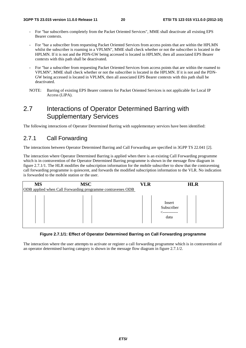- For "bar subscribers completely from the Packet Oriented Services", MME shall deactivate all existing EPS Bearer contexts.
- For "bar a subscriber from requesting Packet Oriented Services from access points that are within the HPLMN whilst the subscriber is roaming in a VPLMN", MME shall check whether or not the subscriber is located in the HPLMN. If it is not and the PDN-GW being accessed is located in HPLMN, then all associated EPS Bearer contexts with this path shall be deactivated.
- For "bar a subscriber from requesting Packet Oriented Services from access points that are within the roamed to VPLMN", MME shall check whether or not the subscriber is located in the HPLMN. If it is not and the PDN-GW being accessed is located in VPLMN, then all associated EPS Bearer contexts with this path shall be deactivated.
- NOTE: Barring of existing EPS Bearer contexts for Packet Oriented Services is not applicable for Local IP Access (LIPA).

### 2.7 Interactions of Operator Determined Barring with Supplementary Services

The following interactions of Operator Determined Barring with supplementary services have been identified:

### 2.7.1 Call Forwarding

The interactions between Operator Determined Barring and Call Forwarding are specified in 3GPP TS 22.041 [2].

The interaction where Operator Determined Barring is applied when there is an existing Call Forwarding programme which is in contravention of the Operator Determined Barring programme is shown in the message flow diagram in figure 2.7.1/1. The HLR modifies the subscription information for the mobile subscriber to show that the contravening call forwarding programme is quiescent, and forwards the modified subscription information to the VLR. No indication is forwarded to the mobile station or the user.

| <b>MS</b> | <b>MSC</b>                                                 | VLR | <b>HLR</b>                   |
|-----------|------------------------------------------------------------|-----|------------------------------|
|           | ODB applied when Call Forwarding programme contravenes ODB |     |                              |
|           |                                                            |     | Insert<br>Subscriber<br>data |

#### **Figure 2.7.1/1: Effect of Operator Determined Barring on Call Forwarding programme**

The interaction where the user attempts to activate or register a call forwarding programme which is in contravention of an operator determined barring category is shown in the message flow diagram in figure 2.7.1/2.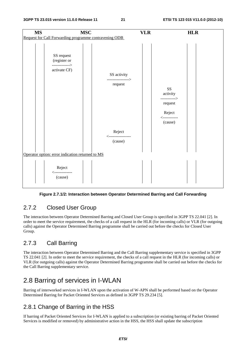

#### **Figure 2.7.1/2: Interaction between Operator Determined Barring and Call Forwarding**

#### 2.7.2 Closed User Group

The interaction between Operator Determined Barring and Closed User Group is specified in 3GPP TS 22.041 [2]. In order to meet the service requirement, the checks of a call request in the HLR (for incoming calls) or VLR (for outgoing calls) against the Operator Determined Barring programme shall be carried out before the checks for Closed User Group.

#### 2.7.3 Call Barring

The interaction between Operator Determined Barring and the Call Barring supplementary service is specified in 3GPP TS 22.041 [2]. In order to meet the service requirement, the checks of a call request in the HLR (for incoming calls) or VLR (for outgoing calls) against the Operator Determined Barring programme shall be carried out before the checks for the Call Barring supplementary service.

### 2.8 Barring of services in I-WLAN

Barring of interworked services in I-WLAN upon the activation of W-APN shall be performed based on the Operator Determined Barring for Packet Oriented Services as defined in 3GPP TS 29.234 [5].

#### 2.8.1 Change of Barring in the HSS

If barring of Packet Oriented Services for I-WLAN is applied to a subscription (or existing barring of Packet Oriented Services is modified or removed) by administrative action in the HSS, the HSS shall update the subscription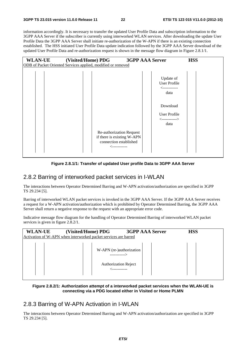information accordingly. It is necessary to transfer the updated User Profile Data and subscription information to the 3GPP AAA Server if the subscriber is currently using interworked WLAN services. After downloading the update User Profile Data the 3GPP AAA Server shall initiate re-authorization of the W-APN if there is an existing connection established. The HSS initiated User Profile Data update indication followed by the 3GPP AAA Server download of the updated User Profile Data and re-authorization request is shown in the message flow diagram in Figure 2.8.1/1.

| <b>WLAN-UE</b>                                               | (Visited/Home) PDG                                                                                | <b>3GPP AAA Server</b>                                                                                                            | <b>HSS</b> |  |
|--------------------------------------------------------------|---------------------------------------------------------------------------------------------------|-----------------------------------------------------------------------------------------------------------------------------------|------------|--|
| ODB of Packet Oriented Services applied, modified or removed |                                                                                                   |                                                                                                                                   |            |  |
|                                                              | Re-authorization Request<br>if there is existing W-APN<br>connection established<br>╱------------ | Update of<br><b>User Profile</b><br><------------<br>data<br>Download<br><b>User Profile</b><br>$\leftarrow$ -----------><br>data |            |  |

#### **Figure 2.8.1/1: Transfer of updated User profile Data to 3GPP AAA Server**

#### 2.8.2 Barring of interworked packet services in I-WLAN

The interactions between Operator Determined Barring and W-APN activation/authorization are specified in 3GPP TS 29.234 [5].

Barring of interworked WLAN packet services is invoked in the 3GPP AAA Server. If the 3GPP AAA Server receives a request for a W-APN activation/authorization which is prohibited by Operator Determined Barring, the 3GPP AAA Server shall return a negative response to the request with an appropriate error code.

Indicative message flow diagram for the handling of Operator Determined Barring of interworked WLAN packet services is given in figure 2.8.2/1.

| <b>WLAN-UE</b> | (Visited/Home) PDG<br>Activation of W-APN when interworked packet services are barred | <b>3GPP AAA Server</b>                    | <b>HSS</b> |  |
|----------------|---------------------------------------------------------------------------------------|-------------------------------------------|------------|--|
|                |                                                                                       | W-APN (re-)authorization<br>------------> |            |  |
|                |                                                                                       | <b>Authorization Reject</b>               |            |  |

#### **Figure 2.8.2/1: Authorization attempt of a interworked packet services when the WLAN-UE is connecting via a PDG located either in Visited or Home PLMN**

#### 2.8.3 Barring of W-APN Activation in I-WLAN

The interactions between Operator Determined Barring and W-APN activation/authorization are specified in 3GPP TS 29.234 [5].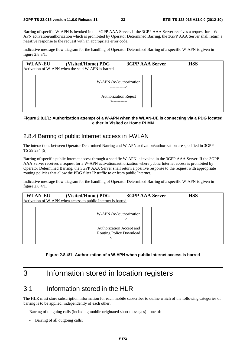Barring of specific W-APN is invoked in the 3GPP AAA Server. If the 3GPP AAA Server receives a request for a W-APN activation/authorization which is prohibited by Operator Determined Barring, the 3GPP AAA Server shall return a negative response to the request with an appropriate error code.

Indicative message flow diagram for the handling of Operator Determined Barring of a specific W-APN is given in figure 2.8.3/1.

| <b>WLAN-EU</b> | (Visited/Home) PDG<br>Activation of W-APN when the said W-APN is barred | <b>3GPP AAA Server</b> | <b>HSS</b> |  |
|----------------|-------------------------------------------------------------------------|------------------------|------------|--|
|                | W-APN (re-)authorization<br>------------->                              |                        |            |  |
|                | <b>Authorization Reject</b><br>------------                             |                        |            |  |

#### **Figure 2.8.3/1: Authorization attempt of a W-APN when the WLAN-UE is connecting via a PDG located either in Visited or Home PLMN**

#### 2.8.4 Barring of public Internet access in I-WLAN

The interactions between Operator Determined Barring and W-APN activation/authorization are specified in 3GPP TS 29.234 [5].

Barring of specific public Internet access through a specific W-APN is invoked in the 3GPP AAA Server. If the 3GPP AAA Server receives a request for a W-APN activation/authorization where public Internet access is prohibited by Operator Determined Barring, the 3GPP AAA Server shall return a positive response to the request with appropriate routing policies that allow the PDG filter IP traffic to or from public Internet.

Indicative message flow diagram for the handling of Operator Determined Barring of a specific W-APN is given in figure 2.8.4/1.



**Figure 2.8.4/1: Authorization of a W-APN when public Internet access is barred** 

### 3 Information stored in location registers

#### 3.1 Information stored in the HLR

The HLR must store subscription information for each mobile subscriber to define which of the following categories of barring is to be applied, independently of each other:

Barring of outgoing calls (including mobile originated short messages) - one of:

Barring of all outgoing calls;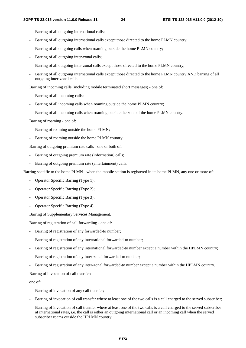- Barring of all outgoing international calls;
- Barring of all outgoing international calls except those directed to the home PLMN country;
- Barring of all outgoing calls when roaming outside the home PLMN country;
- Barring of all outgoing inter-zonal calls;
- Barring of all outgoing inter-zonal calls except those directed to the home PLMN country;
- Barring of all outgoing international calls except those directed to the home PLMN country AND barring of all outgoing inter-zonal calls.

Barring of incoming calls (including mobile terminated short messages) - one of:

- Barring of all incoming calls;
- Barring of all incoming calls when roaming outside the home PLMN country;
- Barring of all incoming calls when roaming outside the zone of the home PLMN country.

Barring of roaming - one of:

- Barring of roaming outside the home PLMN;
- Barring of roaming outside the home PLMN country.

Barring of outgoing premium rate calls - one or both of:

- Barring of outgoing premium rate (information) calls;
- Barring of outgoing premium rate (entertainment) calls.

Barring specific to the home PLMN - when the mobile station is registered in its home PLMN, any one or more of:

- Operator Specific Barring (Type 1);
- Operator Specific Barring (Type 2);
- Operator Specific Barring (Type 3):
- Operator Specific Barring (Type 4).

Barring of Supplementary Services Management.

Barring of registration of call forwarding - one of:

- Barring of registration of any forwarded-to number;
- Barring of registration of any international forwarded-to number;
- Barring of registration of any international forwarded-to number except a number within the HPLMN country;
- Barring of registration of any inter-zonal forwarded-to number;
- Barring of registration of any inter-zonal forwarded-to number except a number within the HPLMN country.

Barring of invocation of call transfer:

one of:

- Barring of invocation of any call transfer;
- Barring of invocation of call transfer where at least one of the two calls is a call charged to the served subscriber;
- Barring of invocation of call transfer where at least one of the two calls is a call charged to the served subscriber at international rates, i.e. the call is either an outgoing international call or an incoming call when the served subscriber roams outside the HPLMN country;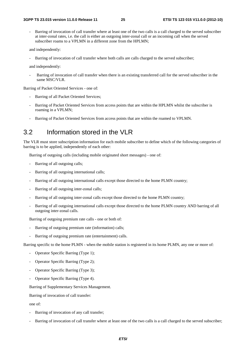Barring of invocation of call transfer where at least one of the two calls is a call charged to the served subscriber at inter-zonal rates, i.e. the call is either an outgoing inter-zonal call or an incoming call when the served subscriber roams to a VPLMN in a different zone from the HPLMN;

and independently:

Barring of invocation of call transfer where both calls are calls charged to the served subscriber;

and independently:

Barring of invocation of call transfer when there is an existing transferred call for the served subscriber in the same MSC/VLR.

Barring of Packet Oriented Services - one of:

- Barring of all Packet Oriented Services;
- Barring of Packet Oriented Services from access points that are within the HPLMN whilst the subscriber is roaming in a VPLMN;
- Barring of Packet Oriented Services from access points that are within the roamed to VPLMN.

#### 3.2 Information stored in the VLR

The VLR must store subscription information for each mobile subscriber to define which of the following categories of barring is to be applied, independently of each other:

Barring of outgoing calls (including mobile originated short messages) - one of:

- Barring of all outgoing calls;
- Barring of all outgoing international calls;
- Barring of all outgoing international calls except those directed to the home PLMN country;
- Barring of all outgoing inter-zonal calls:
- Barring of all outgoing inter-zonal calls except those directed to the home PLMN country;
- Barring of all outgoing international calls except those directed to the home PLMN country AND barring of all outgoing inter-zonal calls.

Barring of outgoing premium rate calls - one or both of:

- Barring of outgoing premium rate (information) calls;
- Barring of outgoing premium rate (entertainment) calls.

Barring specific to the home PLMN - when the mobile station is registered in its home PLMN, any one or more of:

- Operator Specific Barring (Type 1);
- Operator Specific Barring (Type 2);
- Operator Specific Barring (Type 3);
- Operator Specific Barring (Type 4).

Barring of Supplementary Services Management.

Barring of invocation of call transfer:

one of:

- Barring of invocation of any call transfer;
- Barring of invocation of call transfer where at least one of the two calls is a call charged to the served subscriber;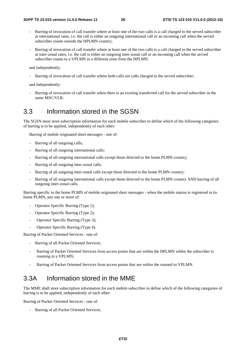- Barring of invocation of call transfer where at least one of the two calls is a call charged to the served subscriber at international rates, i.e. the call is either an outgoing international call or an incoming call when the served subscriber roams outside the HPLMN country;
- Barring of invocation of call transfer where at least one of the two calls is a call charged to the served subscriber at inter-zonal rates, i.e. the call is either an outgoing inter-zonal call or an incoming call when the served subscriber roams to a VPLMN in a different zone from the HPLMN.

and independently:

Barring of invocation of call transfer where both calls are calls charged to the served subscriber;

and independently:

Barring of invocation of call transfer when there is an existing transferred call for the served subscriber in the same MSC/VLR.

#### 3.3 Information stored in the SGSN

The SGSN must store subscription information for each mobile subscriber to define which of the following categories of barring is to be applied, independently of each other:

Barring of mobile originated short messages - one of:

- Barring of all outgoing calls;
- Barring of all outgoing international calls;
- Barring of all outgoing international calls except those directed to the home PLMN country;
- Barring of all outgoing inter-zonal calls;
- Barring of all outgoing inter-zonal calls except those directed to the home PLMN country;
- Barring of all outgoing international calls except those directed to the home PLMN country AND barring of all outgoing inter-zonal calls.

Barring specific to the home PLMN of mobile originated short messages - when the mobile station is registered in its home PLMN, any one or more of:

- Operator Specific Barring (Type 1);
- Operator Specific Barring (Type 2);
- Operator Specific Barring (Type 3):
- Operator Specific Barring (Type 4).

Barring of Packet Oriented Services - one of:

- Barring of all Packet Oriented Services;
- Barring of Packet Oriented Services from access points that are within the HPLMN whilst the subscriber is roaming in a VPLMN;
- Barring of Packet Oriented Services from access points that are within the roamed to VPLMN.

### 3.3A Information stored in the MME

The MME shall store subscription information for each mobile subscriber to define which of the following categories of barring is to be applied, independently of each other:

Barring of Packet Oriented Services - one of:

Barring of all Packet Oriented Services;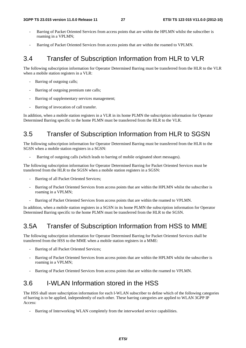- Barring of Packet Oriented Services from access points that are within the HPLMN whilst the subscriber is roaming in a VPLMN;
- Barring of Packet Oriented Services from access points that are within the roamed to VPLMN.

### 3.4 Transfer of Subscription Information from HLR to VLR

The following subscription information for Operator Determined Barring must be transferred from the HLR to the VLR when a mobile station registers in a VLR:

- Barring of outgoing calls;
- Barring of outgoing premium rate calls;
- Barring of supplementary services management;
- Barring of invocation of call transfer.

In addition, when a mobile station registers in a VLR in its home PLMN the subscription information for Operator Determined Barring specific to the home PLMN must be transferred from the HLR to the VLR.

### 3.5 Transfer of Subscription Information from HLR to SGSN

The following subscription information for Operator Determined Barring must be transferred from the HLR to the SGSN when a mobile station registers in a SGSN:

Barring of outgoing calls (which leads to barring of mobile originated short messages).

The following subscription information for Operator Determined Barring for Packet Oriented Services must be transferred from the HLR to the SGSN when a mobile station registers in a SGSN:

- Barring of all Packet Oriented Services;
- Barring of Packet Oriented Services from access points that are within the HPLMN whilst the subscriber is roaming in a VPLMN;
- Barring of Packet Oriented Services from access points that are within the roamed to VPLMN.

In addition, when a mobile station registers in a SGSN in its home PLMN the subscription information for Operator Determined Barring specific to the home PLMN must be transferred from the HLR to the SGSN.

### 3.5A Transfer of Subscription Information from HSS to MME

The following subscription information for Operator Determined Barring for Packet Oriented Services shall be transferred from the HSS to the MME when a mobile station registers in a MME:

- Barring of all Packet Oriented Services;
- Barring of Packet Oriented Services from access points that are within the HPLMN whilst the subscriber is roaming in a VPLMN;
- Barring of Packet Oriented Services from access points that are within the roamed to VPLMN.

### 3.6 I-WLAN Information stored in the HSS

The HSS shall store subscription information for each I-WLAN subscriber to define which of the following categories of barring is to be applied, independently of each other. These barring categories are applied to WLAN 3GPP IP Access:

Barring of Interworking WLAN completely from the interworked service capabilities.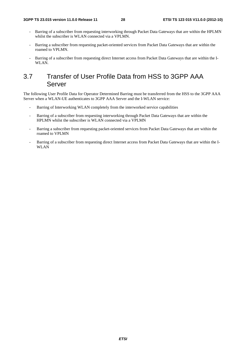- Barring of a subscriber from requesting interworking through Packet Data Gateways that are within the HPLMN whilst the subscriber is WLAN connected via a VPLMN.
- Barring a subscriber from requesting packet-oriented services from Packet Data Gateways that are within the roamed to VPLMN.
- Barring of a subscriber from requesting direct Internet access from Packet Data Gateways that are within the I-WLAN.

### 3.7 Transfer of User Profile Data from HSS to 3GPP AAA Server

The following User Profile Data for Operator Determined Barring must be transferred from the HSS to the 3GPP AAA Server when a WLAN-UE authenticates to 3GPP AAA Server and the I-WLAN service:

- Barring of Interworking WLAN completely from the interworked service capabilities
- Barring of a subscriber from requesting interworking through Packet Data Gateways that are within the HPLMN whilst the subscriber is WLAN connected via a VPLMN
- Barring a subscriber from requesting packet-oriented services from Packet Data Gateways that are within the roamed to VPLMN
- Barring of a subscriber from requesting direct Internet access from Packet Data Gateways that are within the I-WLAN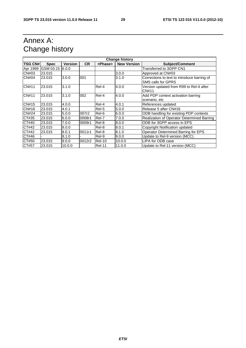# Annex A: Change history

| <b>Change history</b> |                 |                |           |                 |                    |                                                                   |
|-----------------------|-----------------|----------------|-----------|-----------------|--------------------|-------------------------------------------------------------------|
| <b>TSG CN#</b>        | <b>Spec</b>     | <b>Version</b> | <b>CR</b> | <phase></phase> | <b>New Version</b> | <b>Subject/Comment</b>                                            |
| Apr 1999              | GSM 03.15 6.0.0 |                |           |                 |                    | Transferred to 3GPP CN1                                           |
| CN#03                 | 23.015          |                |           |                 | 3.0.0              | Approved at CN#03                                                 |
| CN#04                 | 23.015          | 3.0.0          | 001       |                 | 3.1.0              | Corrections to text to introduce barring of<br>SMS calls for GPRS |
| <b>CN#11</b>          | 23.015          | 3.1.0          |           | Rel-4           | 4.0.0              | Version updated from R99 to Rel-4 after<br>CN#11                  |
| <b>CN#11</b>          | 23.015          | 3.1.0          | 002       | Rel-4           | 4.0.0              | Add PDP context activation barring                                |
|                       |                 |                |           |                 |                    | scenario, etc                                                     |
| CN#15                 | 23.015          | 4.0.0          |           | Rel-4           | 4.0.1              | References updated                                                |
| CN#16                 | 23.015          | 4.0.1          |           | Rel-5           | 5.0.0              | Release 5 after CN#16                                             |
| <b>CN#24</b>          | 23.015          | 5.0.0          | 007r2     | Rel-6           | 6.0.0              | ODB handling for existing PDP contexts                            |
| CT#35                 | 23.015          | 6.0.0          | 0008r1    | Rel-7           | 7.0.0              | Realization of Operator Determined Barring                        |
| CT#40                 | 23.015          | 7.0.0          | 0009r1    | Rel-8           | 8.0.0              | ODB for 3GPP access in EPS                                        |
| CT#42                 | 23.015          | 8.0.0          |           | Rel-8           | 8.0.1              | Copyright Notification updated                                    |
| CT#42                 | 23.015          | 8.0.1          | 0011r1    | Rel-8           | 8.1.0              | Operator Determined Barring for EPS                               |
| CT#46                 |                 | 8.1.0          |           | Rel-9           | 9.0.0              | Update to Rel-9 version (MCC)                                     |
| CT#50                 | 23.015          | 9.0.0          | 0012r2    | $ReI-10$        | 10.0.0             | LIPA for ODB case                                                 |
| CT#57                 | 23.015          | 10.0.0         |           | <b>Rel-11</b>   | 11.0.0             | Update to Rel-11 version (MCC)                                    |